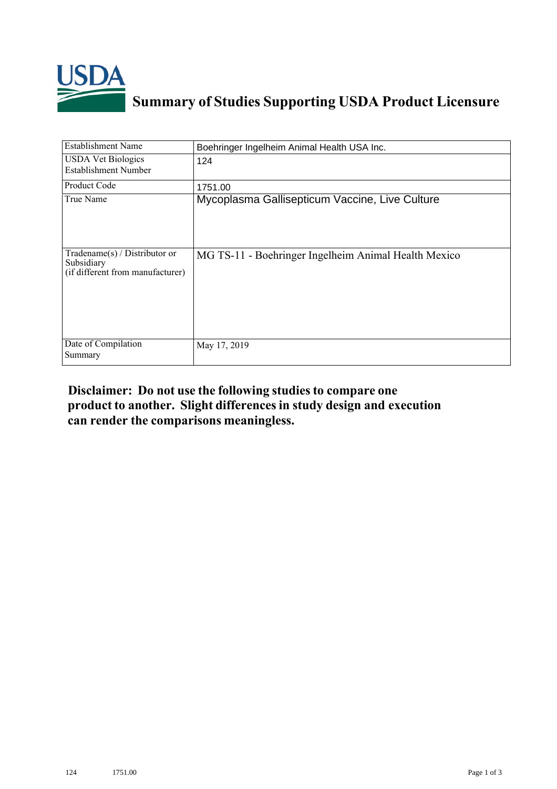

## **Summary of Studies Supporting USDA Product Licensure**

| <b>Establishment Name</b>                                                          | Boehringer Ingelheim Animal Health USA Inc.          |
|------------------------------------------------------------------------------------|------------------------------------------------------|
| <b>USDA Vet Biologics</b><br>Establishment Number                                  | 124                                                  |
| Product Code                                                                       | 1751.00                                              |
| True Name                                                                          | Mycoplasma Gallisepticum Vaccine, Live Culture       |
| Tradename $(s)$ / Distributor or<br>Subsidiary<br>(if different from manufacturer) | MG TS-11 - Boehringer Ingelheim Animal Health Mexico |
| Date of Compilation<br>Summary                                                     | May 17, 2019                                         |

## **Disclaimer: Do not use the following studiesto compare one product to another. Slight differencesin study design and execution can render the comparisons meaningless.**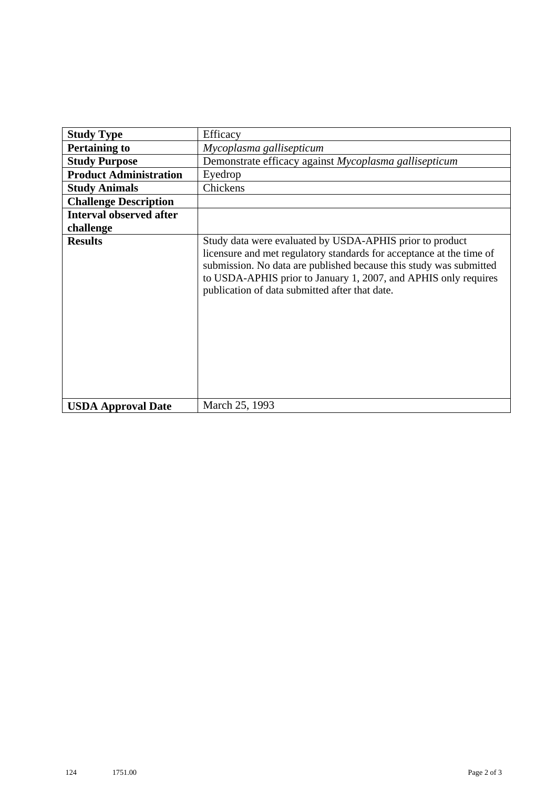| <b>Study Type</b>              | Efficacy                                                                                                                                                                                                                                                                                                                    |
|--------------------------------|-----------------------------------------------------------------------------------------------------------------------------------------------------------------------------------------------------------------------------------------------------------------------------------------------------------------------------|
| <b>Pertaining to</b>           | Mycoplasma gallisepticum                                                                                                                                                                                                                                                                                                    |
| <b>Study Purpose</b>           | Demonstrate efficacy against Mycoplasma gallisepticum                                                                                                                                                                                                                                                                       |
| <b>Product Administration</b>  | Eyedrop                                                                                                                                                                                                                                                                                                                     |
| <b>Study Animals</b>           | Chickens                                                                                                                                                                                                                                                                                                                    |
| <b>Challenge Description</b>   |                                                                                                                                                                                                                                                                                                                             |
| <b>Interval observed after</b> |                                                                                                                                                                                                                                                                                                                             |
| challenge                      |                                                                                                                                                                                                                                                                                                                             |
| <b>Results</b>                 | Study data were evaluated by USDA-APHIS prior to product<br>licensure and met regulatory standards for acceptance at the time of<br>submission. No data are published because this study was submitted<br>to USDA-APHIS prior to January 1, 2007, and APHIS only requires<br>publication of data submitted after that date. |
| <b>USDA Approval Date</b>      | March 25, 1993                                                                                                                                                                                                                                                                                                              |